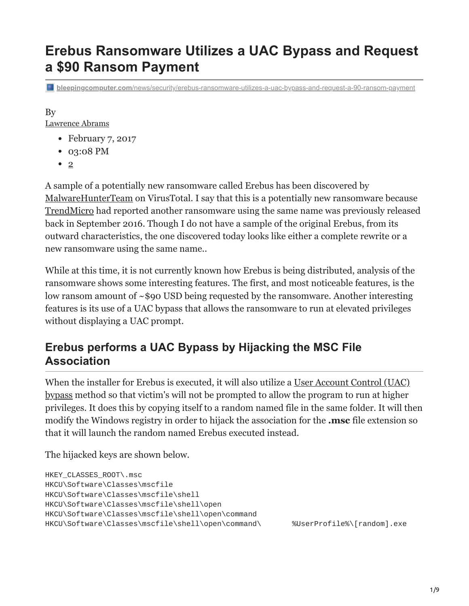# **Erebus Ransomware Utilizes a UAC Bypass and Request a \$90 Ransom Payment**

**bleepingcomputer.com**[/news/security/erebus-ransomware-utilizes-a-uac-bypass-and-request-a-90-ransom-payment](https://www.bleepingcomputer.com/news/security/erebus-ransomware-utilizes-a-uac-bypass-and-request-a-90-ransom-payment/)

## By

[Lawrence Abrams](https://www.bleepingcomputer.com/author/lawrence-abrams/)

- February 7, 2017
- 03:08 PM
- [2](#page-7-0)

A sample of a potentially new ransomware called Erebus has been discovered by [MalwareHunterTeam](https://twitter.com/malwrhunterteam) on VirusTotal. I say that this is a potentially new ransomware because [TrendMicro](http://www.trendmicro.com/vinfo/us/threat-encyclopedia/malware/ransom_erebus.a) had reported another ransomware using the same name was previously released back in September 2016. Though I do not have a sample of the original Erebus, from its outward characteristics, the one discovered today looks like either a complete rewrite or a new ransomware using the same name..

While at this time, it is not currently known how Erebus is being distributed, analysis of the ransomware shows some interesting features. The first, and most noticeable features, is the low ransom amount of ~\$90 USD being requested by the ransomware. Another interesting features is its use of a UAC bypass that allows the ransomware to run at elevated privileges without displaying a UAC prompt.

## **Erebus performs a UAC Bypass by Hijacking the MSC File Association**

When the installer for Erebus is executed, it will also utilize a <u>User Account Control (UAC)</u> bypass method so that victim's will not be prompted to allow the program to run at higher privileges. It does this by copying itself to a random named file in the same folder. It will then modify the Windows registry in order to hijack the association for the **.msc** file extension so that it will launch the random named Erebus executed instead.

The hijacked keys are shown below.

```
HKEY_CLASSES_ROOT\.msc
HKCU\Software\Classes\mscfile
HKCU\Software\Classes\mscfile\shell
HKCU\Software\Classes\mscfile\shell\open
HKCU\Software\Classes\mscfile\shell\open\command
HKCU\Software\Classes\mscfile\shell\open\command\ %UserProfile%\[random].exe
```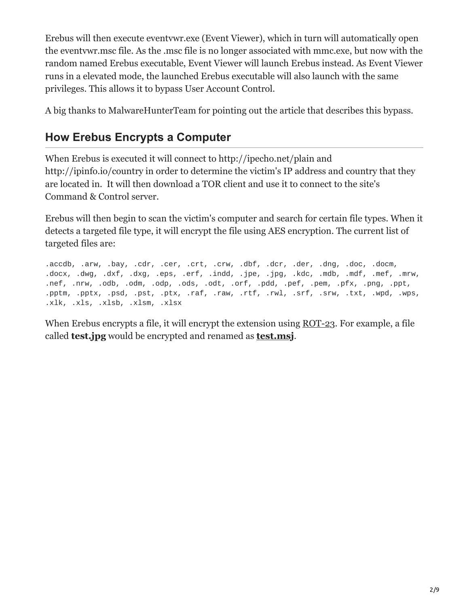Erebus will then execute eventvwr.exe (Event Viewer), which in turn will automatically open the eventvwr.msc file. As the .msc file is no longer associated with mmc.exe, but now with the random named Erebus executable, Event Viewer will launch Erebus instead. As Event Viewer runs in a elevated mode, the launched Erebus executable will also launch with the same privileges. This allows it to bypass User Account Control.

A big thanks to MalwareHunterTeam for pointing out the article that describes this bypass.

## **How Erebus Encrypts a Computer**

When Erebus is executed it will connect to http://ipecho.net/plain and http://ipinfo.io/country in order to determine the victim's IP address and country that they are located in. It will then download a TOR client and use it to connect to the site's Command & Control server.

Erebus will then begin to scan the victim's computer and search for certain file types. When it detects a targeted file type, it will encrypt the file using AES encryption. The current list of targeted files are:

.accdb, .arw, .bay, .cdr, .cer, .crt, .crw, .dbf, .dcr, .der, .dng, .doc, .docm, .docx, .dwg, .dxf, .dxg, .eps, .erf, .indd, .jpe, .jpg, .kdc, .mdb, .mdf, .mef, .mrw, .nef, .nrw, .odb, .odm, .odp, .ods, .odt, .orf, .pdd, .pef, .pem, .pfx, .png, .ppt, .pptm, .pptx, .psd, .pst, .ptx, .raf, .raw, .rtf, .rwl, .srf, .srw, .txt, .wpd, .wps, .xlk, .xls, .xlsb, .xlsm, .xlsx

When Erebus encrypts a file, it will encrypt the extension using [ROT-23](https://en.wikipedia.org/wiki/Caesar_cipher). For example, a file called **test.jpg** would be encrypted and renamed as **[test.msj](http://theblob.org/rot.cgi?text=msj)**.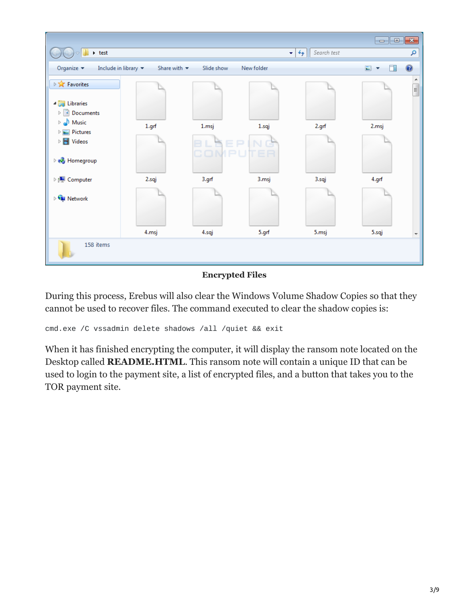

#### **Encrypted Files**

During this process, Erebus will also clear the Windows Volume Shadow Copies so that they cannot be used to recover files. The command executed to clear the shadow copies is:

cmd.exe /C vssadmin delete shadows /all /quiet && exit

When it has finished encrypting the computer, it will display the ransom note located on the Desktop called **README.HTML**. This ransom note will contain a unique ID that can be used to login to the payment site, a list of encrypted files, and a button that takes you to the TOR payment site.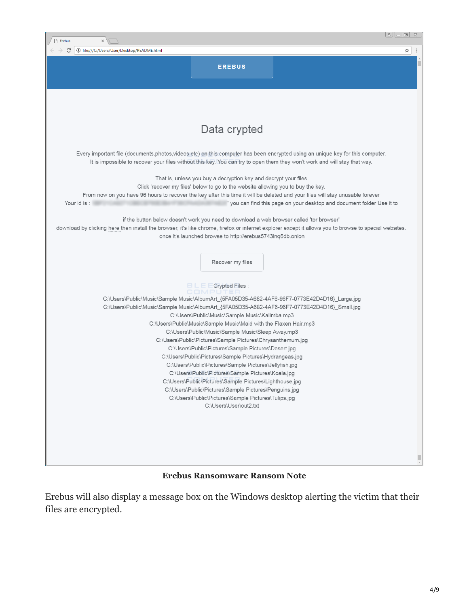

#### **Erebus Ransomware Ransom Note**

Erebus will also display a message box on the Windows desktop alerting the victim that their files are encrypted.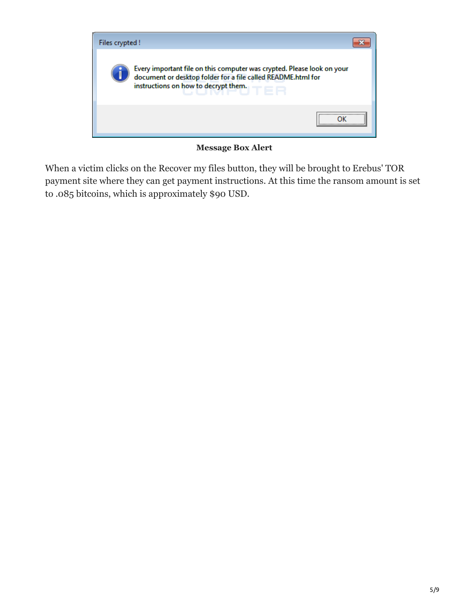

**Message Box Alert**

When a victim clicks on the Recover my files button, they will be brought to Erebus' TOR payment site where they can get payment instructions. At this time the ransom amount is set to .085 bitcoins, which is approximately \$90 USD.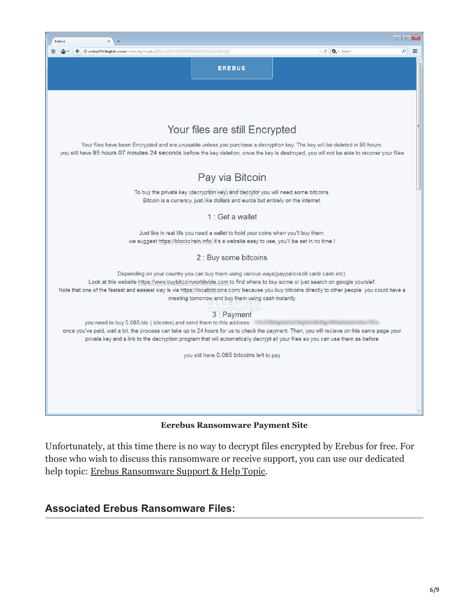

**Eerebus Ransomware Payment Site**

Unfortunately, at this time there is no way to decrypt files encrypted by Erebus for free. For those who wish to discuss this ransomware or receive support, you can use our dedicated help topic: [Erebus Ransomware Support & Help Topic](https://www.bleepingcomputer.com/forums/t/639371/erebus-ransomware-support-help-topic-readmehtml/).

## **Associated Erebus Ransomware Files:**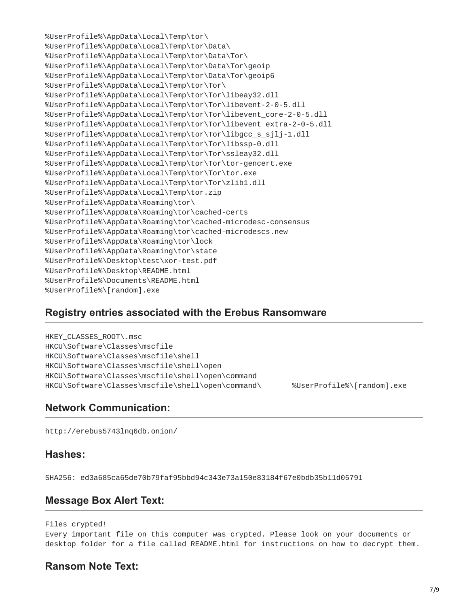%UserProfile%\AppData\Local\Temp\tor\ %UserProfile%\AppData\Local\Temp\tor\Data\ %UserProfile%\AppData\Local\Temp\tor\Data\Tor\ %UserProfile%\AppData\Local\Temp\tor\Data\Tor\geoip %UserProfile%\AppData\Local\Temp\tor\Data\Tor\geoip6 %UserProfile%\AppData\Local\Temp\tor\Tor\ %UserProfile%\AppData\Local\Temp\tor\Tor\libeay32.dll %UserProfile%\AppData\Local\Temp\tor\Tor\libevent-2-0-5.dll %UserProfile%\AppData\Local\Temp\tor\Tor\libevent\_core-2-0-5.dll %UserProfile%\AppData\Local\Temp\tor\Tor\libevent\_extra-2-0-5.dll %UserProfile%\AppData\Local\Temp\tor\Tor\libgcc\_s\_sjlj-1.dll %UserProfile%\AppData\Local\Temp\tor\Tor\libssp-0.dll %UserProfile%\AppData\Local\Temp\tor\Tor\ssleay32.dll %UserProfile%\AppData\Local\Temp\tor\Tor\tor-gencert.exe %UserProfile%\AppData\Local\Temp\tor\Tor\tor.exe %UserProfile%\AppData\Local\Temp\tor\Tor\zlib1.dll %UserProfile%\AppData\Local\Temp\tor.zip %UserProfile%\AppData\Roaming\tor\ %UserProfile%\AppData\Roaming\tor\cached-certs %UserProfile%\AppData\Roaming\tor\cached-microdesc-consensus %UserProfile%\AppData\Roaming\tor\cached-microdescs.new %UserProfile%\AppData\Roaming\tor\lock %UserProfile%\AppData\Roaming\tor\state %UserProfile%\Desktop\test\xor-test.pdf %UserProfile%\Desktop\README.html %UserProfile%\Documents\README.html %UserProfile%\[random].exe

### **Registry entries associated with the Erebus Ransomware**

HKEY\_CLASSES\_ROOT\.msc HKCU\Software\Classes\mscfile HKCU\Software\Classes\mscfile\shell HKCU\Software\Classes\mscfile\shell\open HKCU\Software\Classes\mscfile\shell\open\command HKCU\Software\Classes\mscfile\shell\open\command\ %UserProfile%\[random].exe

### **Network Communication:**

http://erebus5743lnq6db.onion/

#### **Hashes:**

SHA256: ed3a685ca65de70b79faf95bbd94c343e73a150e83184f67e0bdb35b11d05791

#### **Message Box Alert Text:**

```
Files crypted!
```
Every important file on this computer was crypted. Please look on your documents or desktop folder for a file called README.html for instructions on how to decrypt them.

### **Ransom Note Text:**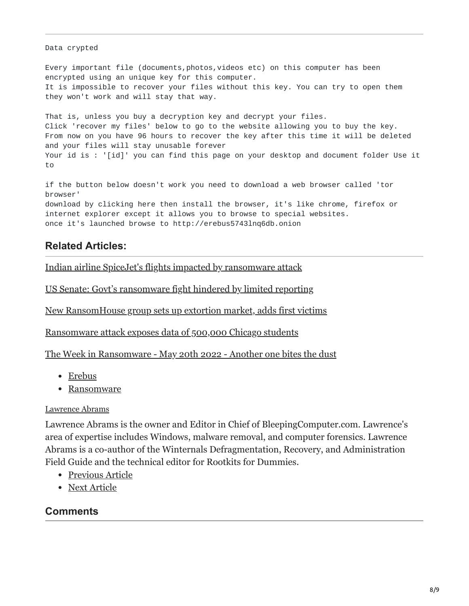#### Data crypted

Every important file (documents,photos,videos etc) on this computer has been encrypted using an unique key for this computer. It is impossible to recover your files without this key. You can try to open them they won't work and will stay that way.

That is, unless you buy a decryption key and decrypt your files. Click 'recover my files' below to go to the website allowing you to buy the key. From now on you have 96 hours to recover the key after this time it will be deleted and your files will stay unusable forever Your id is : '[id]' you can find this page on your desktop and document folder Use it to

if the button below doesn't work you need to download a web browser called 'tor browser' download by clicking here then install the browser, it's like chrome, firefox or internet explorer except it allows you to browse to special websites. once it's launched browse to http://erebus5743lnq6db.onion

## **Related Articles:**

[Indian airline SpiceJet's flights impacted by ransomware attack](https://www.bleepingcomputer.com/news/security/indian-airline-spicejets-flights-impacted-by-ransomware-attack/)

[US Senate: Govt's ransomware fight hindered by limited reporting](https://www.bleepingcomputer.com/news/security/us-senate-govt-s-ransomware-fight-hindered-by-limited-reporting/)

[New RansomHouse group sets up extortion market, adds first victims](https://www.bleepingcomputer.com/news/security/new-ransomhouse-group-sets-up-extortion-market-adds-first-victims/)

[Ransomware attack exposes data of 500,000 Chicago students](https://www.bleepingcomputer.com/news/security/ransomware-attack-exposes-data-of-500-000-chicago-students/)

[The Week in Ransomware - May 20th 2022 - Another one bites the dust](https://www.bleepingcomputer.com/news/security/the-week-in-ransomware-may-20th-2022-another-one-bites-the-dust/)

- [Erebus](https://www.bleepingcomputer.com/tag/erebus/)
- [Ransomware](https://www.bleepingcomputer.com/tag/ransomware/)

#### [Lawrence Abrams](https://www.bleepingcomputer.com/author/lawrence-abrams/)

Lawrence Abrams is the owner and Editor in Chief of BleepingComputer.com. Lawrence's area of expertise includes Windows, malware removal, and computer forensics. Lawrence Abrams is a co-author of the Winternals Defragmentation, Recovery, and Administration Field Guide and the technical editor for Rootkits for Dummies.

- [Previous Article](https://www.bleepingcomputer.com/news/security/76-popular-ios-apps-vulnerable-to-silent-interception-of-tls-encrypted-data/)
- [Next Article](https://www.bleepingcomputer.com/news/security/high-end-phishing-kit-automates-attacks-on-paypal-accounts/)

### <span id="page-7-0"></span>**Comments**